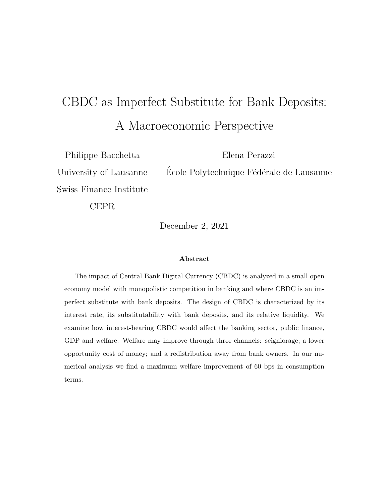# CBDC as Imperfect Substitute for Bank Deposits: A Macroeconomic Perspective

Philippe Bacchetta University of Lausanne Swiss Finance Institute Elena Perazzi École Polytechnique Fédérale de Lausanne

CEPR

December 2, 2021

#### Abstract

The impact of Central Bank Digital Currency (CBDC) is analyzed in a small open economy model with monopolistic competition in banking and where CBDC is an imperfect substitute with bank deposits. The design of CBDC is characterized by its interest rate, its substitutability with bank deposits, and its relative liquidity. We examine how interest-bearing CBDC would affect the banking sector, public finance, GDP and welfare. Welfare may improve through three channels: seigniorage; a lower opportunity cost of money; and a redistribution away from bank owners. In our numerical analysis we find a maximum welfare improvement of 60 bps in consumption terms.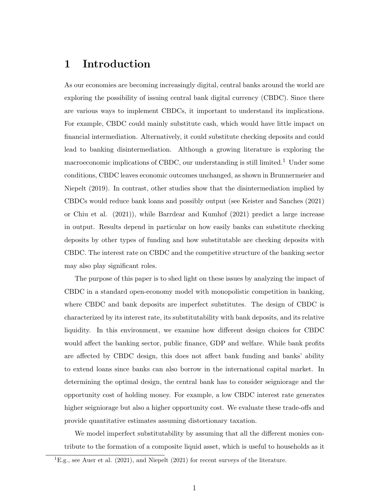# 1 Introduction

As our economies are becoming increasingly digital, central banks around the world are exploring the possibility of issuing central bank digital currency (CBDC). Since there are various ways to implement CBDCs, it important to understand its implications. For example, CBDC could mainly substitute cash, which would have little impact on financial intermediation. Alternatively, it could substitute checking deposits and could lead to banking disintermediation. Although a growing literature is exploring the macroeconomic implications of CBDC, our understanding is still limited.<sup>1</sup> Under some conditions, CBDC leaves economic outcomes unchanged, as shown in Brunnermeier and Niepelt (2019). In contrast, other studies show that the disintermediation implied by CBDCs would reduce bank loans and possibly output (see Keister and Sanches (2021) or Chiu et al. (2021)), while Barrdear and Kumhof (2021) predict a large increase in output. Results depend in particular on how easily banks can substitute checking deposits by other types of funding and how substitutable are checking deposits with CBDC. The interest rate on CBDC and the competitive structure of the banking sector may also play significant roles.

The purpose of this paper is to shed light on these issues by analyzing the impact of CBDC in a standard open-economy model with monopolistic competition in banking, where CBDC and bank deposits are imperfect substitutes. The design of CBDC is characterized by its interest rate, its substitutability with bank deposits, and its relative liquidity. In this environment, we examine how different design choices for CBDC would affect the banking sector, public finance, GDP and welfare. While bank profits are affected by CBDC design, this does not affect bank funding and banks' ability to extend loans since banks can also borrow in the international capital market. In determining the optimal design, the central bank has to consider seigniorage and the opportunity cost of holding money. For example, a low CBDC interest rate generates higher seigniorage but also a higher opportunity cost. We evaluate these trade-offs and provide quantitative estimates assuming distortionary taxation.

We model imperfect substitutability by assuming that all the different monies contribute to the formation of a composite liquid asset, which is useful to households as it

<sup>&</sup>lt;sup>1</sup>E.g., see Auer et al. (2021), and Niepelt (2021) for recent surveys of the literature.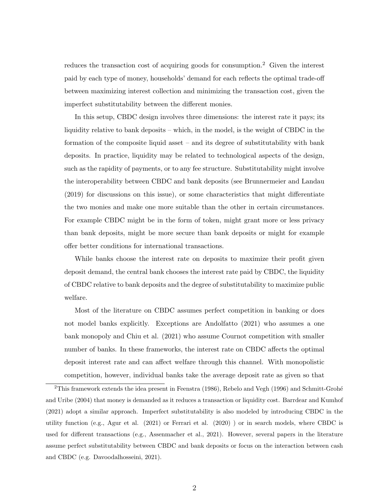reduces the transaction cost of acquiring goods for consumption.<sup>2</sup> Given the interest paid by each type of money, households' demand for each reflects the optimal trade-off between maximizing interest collection and minimizing the transaction cost, given the imperfect substitutability between the different monies.

In this setup, CBDC design involves three dimensions: the interest rate it pays; its liquidity relative to bank deposits – which, in the model, is the weight of CBDC in the formation of the composite liquid asset – and its degree of substitutability with bank deposits. In practice, liquidity may be related to technological aspects of the design, such as the rapidity of payments, or to any fee structure. Substitutability might involve the interoperability between CBDC and bank deposits (see Brunnermeier and Landau (2019) for discussions on this issue), or some characteristics that might differentiate the two monies and make one more suitable than the other in certain circumstances. For example CBDC might be in the form of token, might grant more or less privacy than bank deposits, might be more secure than bank deposits or might for example offer better conditions for international transactions.

While banks choose the interest rate on deposits to maximize their profit given deposit demand, the central bank chooses the interest rate paid by CBDC, the liquidity of CBDC relative to bank deposits and the degree of substitutability to maximize public welfare.

Most of the literature on CBDC assumes perfect competition in banking or does not model banks explicitly. Exceptions are Andolfatto (2021) who assumes a one bank monopoly and Chiu et al. (2021) who assume Cournot competition with smaller number of banks. In these frameworks, the interest rate on CBDC affects the optimal deposit interest rate and can affect welfare through this channel. With monopolistic competition, however, individual banks take the average deposit rate as given so that

 $2$ This framework extends the idea present in Feenstra (1986), Rebelo and Vegh (1996) and Schmitt-Grohé and Uribe (2004) that money is demanded as it reduces a transaction or liquidity cost. Barrdear and Kumhof (2021) adopt a similar approach. Imperfect substitutability is also modeled by introducing CBDC in the utility function (e.g., Agur et al. (2021) or Ferrari et al. (2020) ) or in search models, where CBDC is used for different transactions (e.g., Assenmacher et al., 2021). However, several papers in the literature assume perfect substitutability between CBDC and bank deposits or focus on the interaction between cash and CBDC (e.g. Davoodalhosseini, 2021).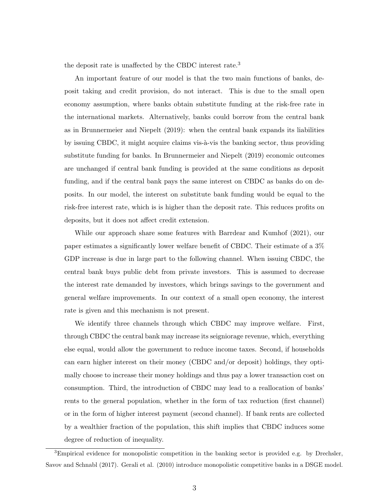the deposit rate is unaffected by the CBDC interest rate.<sup>3</sup>

An important feature of our model is that the two main functions of banks, deposit taking and credit provision, do not interact. This is due to the small open economy assumption, where banks obtain substitute funding at the risk-free rate in the international markets. Alternatively, banks could borrow from the central bank as in Brunnermeier and Niepelt (2019): when the central bank expands its liabilities by issuing CBDC, it might acquire claims vis- $\grave{a}$ -vis the banking sector, thus providing substitute funding for banks. In Brunnermeier and Niepelt (2019) economic outcomes are unchanged if central bank funding is provided at the same conditions as deposit funding, and if the central bank pays the same interest on CBDC as banks do on deposits. In our model, the interest on substitute bank funding would be equal to the risk-free interest rate, which is is higher than the deposit rate. This reduces profits on deposits, but it does not affect credit extension.

While our approach share some features with Barrdear and Kumhof (2021), our paper estimates a significantly lower welfare benefit of CBDC. Their estimate of a 3% GDP increase is due in large part to the following channel. When issuing CBDC, the central bank buys public debt from private investors. This is assumed to decrease the interest rate demanded by investors, which brings savings to the government and general welfare improvements. In our context of a small open economy, the interest rate is given and this mechanism is not present.

We identify three channels through which CBDC may improve welfare. First, through CBDC the central bank may increase its seigniorage revenue, which, everything else equal, would allow the government to reduce income taxes. Second, if households can earn higher interest on their money (CBDC and/or deposit) holdings, they optimally choose to increase their money holdings and thus pay a lower transaction cost on consumption. Third, the introduction of CBDC may lead to a reallocation of banks' rents to the general population, whether in the form of tax reduction (first channel) or in the form of higher interest payment (second channel). If bank rents are collected by a wealthier fraction of the population, this shift implies that CBDC induces some degree of reduction of inequality.

<sup>&</sup>lt;sup>3</sup>Empirical evidence for monopolistic competition in the banking sector is provided e.g. by Drechsler, Savov and Schnabl (2017). Gerali et al. (2010) introduce monopolistic competitive banks in a DSGE model.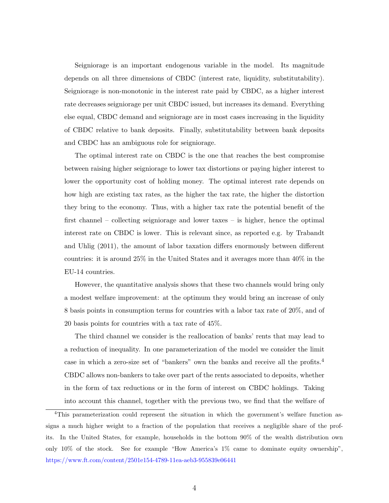Seigniorage is an important endogenous variable in the model. Its magnitude depends on all three dimensions of CBDC (interest rate, liquidity, substitutability). Seigniorage is non-monotonic in the interest rate paid by CBDC, as a higher interest rate decreases seigniorage per unit CBDC issued, but increases its demand. Everything else equal, CBDC demand and seigniorage are in most cases increasing in the liquidity of CBDC relative to bank deposits. Finally, substitutability between bank deposits and CBDC has an ambiguous role for seigniorage.

The optimal interest rate on CBDC is the one that reaches the best compromise between raising higher seigniorage to lower tax distortions or paying higher interest to lower the opportunity cost of holding money. The optimal interest rate depends on how high are existing tax rates, as the higher the tax rate, the higher the distortion they bring to the economy. Thus, with a higher tax rate the potential benefit of the first channel – collecting seigniorage and lower taxes – is higher, hence the optimal interest rate on CBDC is lower. This is relevant since, as reported e.g. by Trabandt and Uhlig (2011), the amount of labor taxation differs enormously between different countries: it is around 25% in the United States and it averages more than 40% in the EU-14 countries.

However, the quantitative analysis shows that these two channels would bring only a modest welfare improvement: at the optimum they would bring an increase of only 8 basis points in consumption terms for countries with a labor tax rate of 20%, and of 20 basis points for countries with a tax rate of 45%.

The third channel we consider is the reallocation of banks' rents that may lead to a reduction of inequality. In one parameterization of the model we consider the limit case in which a zero-size set of "bankers" own the banks and receive all the profits.<sup>4</sup> CBDC allows non-bankers to take over part of the rents associated to deposits, whether in the form of tax reductions or in the form of interest on CBDC holdings. Taking into account this channel, together with the previous two, we find that the welfare of

<sup>4</sup>This parameterization could represent the situation in which the government's welfare function assigns a much higher weight to a fraction of the population that receives a negligible share of the profits. In the United States, for example, households in the bottom 90% of the wealth distribution own only 10% of the stock. See for example "How America's 1% came to dominate equity ownership", https://www.ft.com/content/2501e154-4789-11ea-aeb3-955839e06441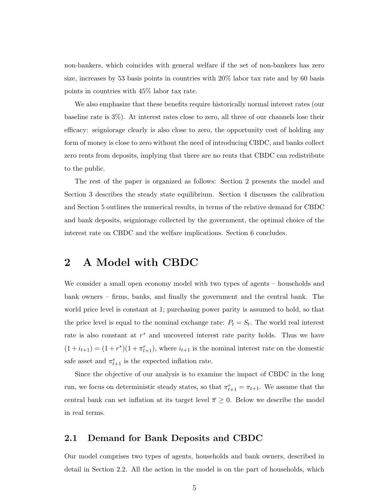non-bankers, which coincides with general welfare if the set of non-bankers has zero size, increases by 53 basis points in countries with 20% labor tax rate and by 60 basis points in countries with 45% labor tax rate.

We also emphasize that these benefits require historically normal interest rates (our baseline rate is 3%). At interest rates close to zero, all three of our channels lose their efficacy: seigniorage clearly is also close to zero, the opportunity cost of holding any form of money is close to zero without the need of introducing CBDC, and banks collect zero rents from deposits, implying that there are no rents that CBDC can redistribute to the public.

The rest of the paper is organized as follows: Section 2 presents the model and Section 3 describes the steady state equilibrium. Section 4 discusses the calibration and Section 5 outlines the numerical results, in terms of the relative demand for CBDC and bank deposits, seigniorage collected by the government, the optimal choice of the interest rate on CBDC and the welfare implications. Section 6 concludes.

# 2 A Model with CBDC

We consider a small open economy model with two types of agents – households and bank owners – firms, banks, and finally the government and the central bank. The world price level is constant at 1; purchasing power parity is assumed to hold, so that the price level is equal to the nominal exchange rate:  $P_t = S_t$ . The world real interest rate is also constant at  $r^*$  and uncovered interest rate parity holds. Thus we have  $(1+i_{t+1}) = (1+r^*)(1+\pi_{t+1}^e)$ , where  $i_{t+1}$  is the nominal interest rate on the domestic safe asset and  $\pi_{t+1}^e$  is the expected inflation rate.

Since the objective of our analysis is to examine the impact of CBDC in the long run, we focus on deterministic steady states, so that  $\pi_{t+1}^e = \pi_{t+1}$ . We assume that the central bank can set inflation at its target level  $\overline{\pi} \geq 0$ . Below we describe the model in real terms.

## 2.1 Demand for Bank Deposits and CBDC

Our model comprises two types of agents, households and bank owners, described in detail in Section 2.2. All the action in the model is on the part of households, which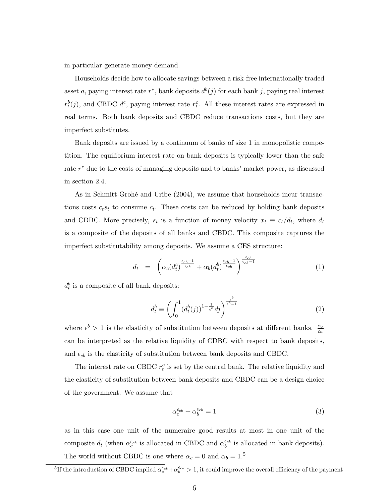in particular generate money demand.

Households decide how to allocate savings between a risk-free internationally traded asset a, paying interest rate  $r^*$ , bank deposits  $d^b(j)$  for each bank j, paying real interest  $r_t^b(j)$ , and CBDC  $d^c$ , paying interest rate  $r_t^c$ . All these interest rates are expressed in real terms. Both bank deposits and CBDC reduce transactions costs, but they are imperfect substitutes.

Bank deposits are issued by a continuum of banks of size 1 in monopolistic competition. The equilibrium interest rate on bank deposits is typically lower than the safe rate  $r^*$  due to the costs of managing deposits and to banks' market power, as discussed in section 2.4.

As in Schmitt-Grohé and Uribe (2004), we assume that households incur transactions costs  $c_t s_t$  to consume  $c_t$ . These costs can be reduced by holding bank deposits and CDBC. More precisely,  $s_t$  is a function of money velocity  $x_t \equiv c_t/d_t$ , where  $d_t$ is a composite of the deposits of all banks and CBDC. This composite captures the imperfect substitutability among deposits. We assume a CES structure:

$$
d_t = \left( \alpha_c (d_t^c)^{\frac{\epsilon_{cb} - 1}{\epsilon_{cb}}} + \alpha_b (d_t^b)^{\frac{\epsilon_{cb} - 1}{\epsilon_{cb}}} \right)^{\frac{\epsilon_{cb}}{\epsilon_{cb} - 1}} \tag{1}
$$

 $d_t^b$  is a composite of all bank deposits:

$$
d_t^b \equiv \left( \int_0^1 (d_t^b(j))^{1 - \frac{1}{\epsilon^b}} dj \right)^{\frac{\epsilon^b}{\epsilon^b - 1}}
$$
 (2)

where  $\epsilon^b > 1$  is the elasticity of substitution between deposits at different banks.  $\frac{\alpha_c}{\alpha_b}$ can be interpreted as the relative liquidity of CDBC with respect to bank deposits, and  $\epsilon_{cb}$  is the elasticity of substitution between bank deposits and CBDC.

The interest rate on CBDC  $r_t^c$  is set by the central bank. The relative liquidity and the elasticity of substitution between bank deposits and CBDC can be a design choice of the government. We assume that

$$
\alpha_c^{ \epsilon_{cb} } + \alpha_b^{ \epsilon_{cb} } = 1 \tag{3}
$$

as in this case one unit of the numeraire good results at most in one unit of the composite  $d_t$  (when  $\alpha_c^{\epsilon_{cb}}$  is allocated in CBDC and  $\alpha_b^{\epsilon_{cb}}$  is allocated in bank deposits). The world without CBDC is one where  $\alpha_c = 0$  and  $\alpha_b = 1.5$ 

<sup>&</sup>lt;sup>5</sup>If the introduction of CBDC implied  $\alpha_c^{\epsilon_{cb}} + \alpha_b^{\epsilon_{cb}} > 1$ , it could improve the overall efficiency of the payment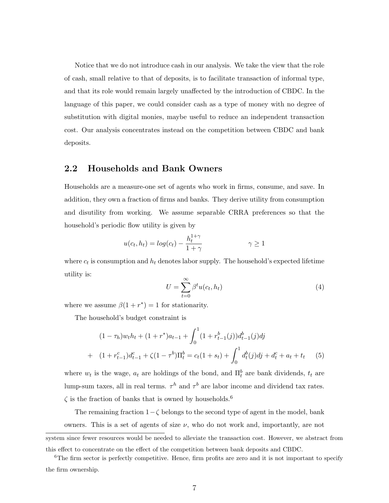Notice that we do not introduce cash in our analysis. We take the view that the role of cash, small relative to that of deposits, is to facilitate transaction of informal type, and that its role would remain largely unaffected by the introduction of CBDC. In the language of this paper, we could consider cash as a type of money with no degree of substitution with digital monies, maybe useful to reduce an independent transaction cost. Our analysis concentrates instead on the competition between CBDC and bank deposits.

## 2.2 Households and Bank Owners

Households are a measure-one set of agents who work in firms, consume, and save. In addition, they own a fraction of firms and banks. They derive utility from consumption and disutility from working. We assume separable CRRA preferences so that the household's periodic flow utility is given by

$$
u(c_t, h_t) = \log(c_t) - \frac{h_t^{1+\gamma}}{1+\gamma} \qquad \gamma \ge 1
$$

where  $c_t$  is consumption and  $h_t$  denotes labor supply. The household's expected lifetime utility is:

$$
U = \sum_{t=0}^{\infty} \beta^t u(c_t, h_t)
$$
\n(4)

where we assume  $\beta(1+r^*)=1$  for stationarity.

The household's budget constraint is

$$
(1 - \tau_h)w_t h_t + (1 + r^*) a_{t-1} + \int_0^1 (1 + r_{t-1}^b(j)) d_{t-1}^b(j) dj
$$
  
+ 
$$
(1 + r_{t-1}^c) d_{t-1}^c + \zeta (1 - \tau^b) \Pi_t^b = c_t (1 + s_t) + \int_0^1 d_t^b(j) dj + d_t^c + a_t + t_t
$$
 (5)

where  $w_t$  is the wage,  $a_t$  are holdings of the bond, and  $\prod_t^b$  are bank dividends,  $t_t$  are lump-sum taxes, all in real terms.  $\tau^h$  and  $\tau^b$  are labor income and dividend tax rates.  $\zeta$  is the fraction of banks that is owned by households.<sup>6</sup>

The remaining fraction  $1-\zeta$  belongs to the second type of agent in the model, bank owners. This is a set of agents of size  $\nu$ , who do not work and, importantly, are not

system since fewer resources would be needed to alleviate the transaction cost. However, we abstract from this effect to concentrate on the effect of the competition between bank deposits and CBDC.

<sup>&</sup>lt;sup>6</sup>The firm sector is perfectly competitive. Hence, firm profits are zero and it is not important to specify the firm ownership.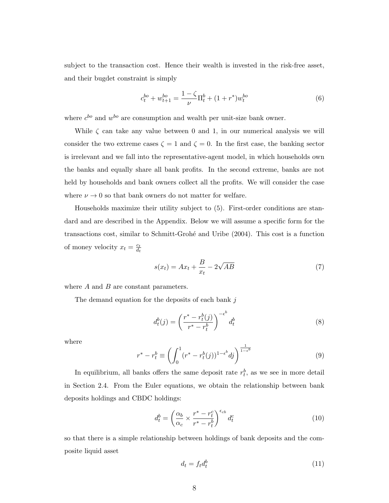subject to the transaction cost. Hence their wealth is invested in the risk-free asset, and their bugdet constraint is simply

$$
c_t^{bo} + w_{t+1}^{bo} = \frac{1 - \zeta}{\nu} \Pi_t^b + (1 + r^*) w_t^{bo}
$$
 (6)

where  $c^{bo}$  and  $w^{bo}$  are consumption and wealth per unit-size bank owner.

While  $\zeta$  can take any value between 0 and 1, in our numerical analysis we will consider the two extreme cases  $\zeta = 1$  and  $\zeta = 0$ . In the first case, the banking sector is irrelevant and we fall into the representative-agent model, in which households own the banks and equally share all bank profits. In the second extreme, banks are not held by households and bank owners collect all the profits. We will consider the case where  $\nu \rightarrow 0$  so that bank owners do not matter for welfare.

Households maximize their utility subject to (5). First-order conditions are standard and are described in the Appendix. Below we will assume a specific form for the transactions cost, similar to Schmitt-Groh´e and Uribe (2004). This cost is a function of money velocity  $x_t = \frac{c_t}{dt}$  $d_t$ 

$$
s(x_t) = Ax_t + \frac{B}{x_t} - 2\sqrt{AB}
$$
 (7)

where  $A$  and  $B$  are constant parameters.

The demand equation for the deposits of each bank  $j$ 

$$
d_t^b(j) = \left(\frac{r^* - r_t^b(j)}{r^* - r_t^b}\right)^{-\epsilon^b} d_t^b \tag{8}
$$

where

$$
r^* - r_t^b \equiv \left( \int_0^1 (r^* - r_t^b(j))^{1 - \epsilon^b} dj \right)^{\frac{1}{1 - \epsilon^b}}
$$
(9)

In equilibrium, all banks offers the same deposit rate  $r_t^b$ , as we see in more detail in Section 2.4. From the Euler equations, we obtain the relationship between bank deposits holdings and CBDC holdings:

$$
d_t^b = \left(\frac{\alpha_b}{\alpha_c} \times \frac{r^* - r_t^c}{r^* - r_t^b}\right)^{\epsilon_{cb}} d_t^c \tag{10}
$$

so that there is a simple relationship between holdings of bank deposits and the composite liquid asset

$$
d_t = f_t d_t^b \tag{11}
$$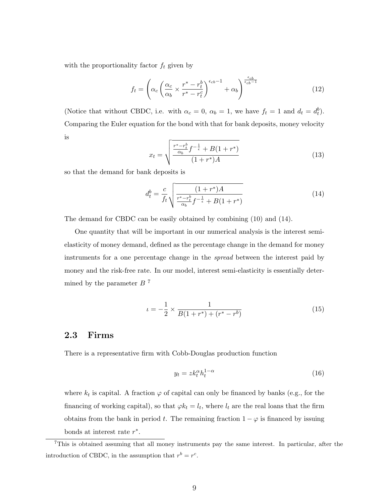with the proportionality factor  $f_t$  given by

$$
f_t = \left(\alpha_c \left(\frac{\alpha_c}{\alpha_b} \times \frac{r^* - r_t^b}{r^* - r_t^c}\right)^{\epsilon_{cb} - 1} + \alpha_b\right)^{\frac{\epsilon_{cb}}{\epsilon_{cb} - 1}}\tag{12}
$$

(Notice that without CBDC, i.e. with  $\alpha_c = 0$ ,  $\alpha_b = 1$ , we have  $f_t = 1$  and  $d_t = d_t^b$ ). Comparing the Euler equation for the bond with that for bank deposits, money velocity is

$$
x_t = \sqrt{\frac{\frac{r^*-r_t^b}{\alpha_b}f^{-\frac{1}{\epsilon}} + B(1+r^*)}{(1+r^*)A}}
$$
(13)

so that the demand for bank deposits is

$$
d_t^b = \frac{c}{f_t} \sqrt{\frac{(1+r^*)A}{\frac{r^*-r_t^b}{\alpha_b}f^{-\frac{1}{\epsilon}} + B(1+r^*)}}
$$
(14)

The demand for CBDC can be easily obtained by combining (10) and (14).

One quantity that will be important in our numerical analysis is the interest semielasticity of money demand, defined as the percentage change in the demand for money instruments for a one percentage change in the spread between the interest paid by money and the risk-free rate. In our model, interest semi-elasticity is essentially determined by the parameter  $B^7$ 

$$
\iota = -\frac{1}{2} \times \frac{1}{B(1+r^*) + (r^* - r^b)}
$$
\n(15)

## 2.3 Firms

There is a representative firm with Cobb-Douglas production function

$$
y_t = z k_t^{\alpha} h_t^{1-\alpha} \tag{16}
$$

where  $k_t$  is capital. A fraction  $\varphi$  of capital can only be financed by banks (e.g., for the financing of working capital), so that  $\varphi k_t = l_t$ , where  $l_t$  are the real loans that the firm obtains from the bank in period t. The remaining fraction  $1 - \varphi$  is financed by issuing bonds at interest rate  $r^*$ .

<sup>7</sup>This is obtained assuming that all money instruments pay the same interest. In particular, after the introduction of CBDC, in the assumption that  $r^b = r^c$ .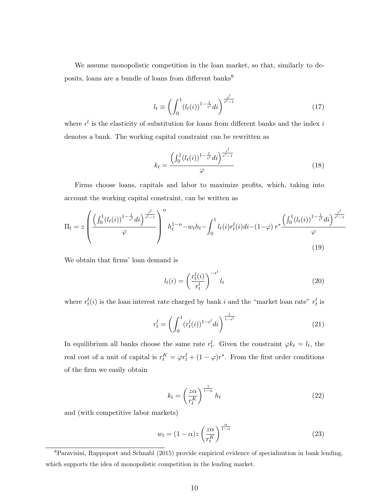We assume monopolistic competition in the loan market, so that, similarly to deposits, loans are a bundle of loans from different banks<sup>8</sup>

$$
l_t \equiv \left(\int_0^1 (l_t(i))^{1-\frac{1}{\epsilon^l}} di\right)^{\frac{\epsilon^l}{\epsilon^l - 1}} \tag{17}
$$

where  $\epsilon^l$  is the elasticity of substitution for loans from different banks and the index i denotes a bank. The working capital constraint can be rewritten as

$$
k_t = \frac{\left(\int_0^1 (l_t(i))^{1 - \frac{1}{\epsilon^l} } di\right)^{\frac{\epsilon^l}{\epsilon^l - 1}}}{\varphi} \tag{18}
$$

Firms choose loans, capitals and labor to maximize profits, which, taking into account the working capital constraint, can be written as

$$
\Pi_{t} = z \left( \frac{\left(\int_{0}^{1} (l_{t}(i))^{1 - \frac{1}{\epsilon^{l}} } di\right)^{\frac{\epsilon^{l}}{\epsilon^{l} - 1}}}{\varphi} \right)^{\alpha} h_{t}^{1 - \alpha} - w_{t} h_{t} - \int_{0}^{1} l_{t}(i) r_{t}^{l}(i) di - (1 - \varphi) r^{*} \frac{\left(\int_{0}^{1} (l_{t}(i))^{1 - \frac{1}{\epsilon^{l}} } di\right)^{\frac{\epsilon^{l}}{\epsilon^{l} - 1}}}{\varphi} \tag{19}
$$

We obtain that firms' loan demand is

$$
l_t(i) = \left(\frac{r_t^l(i)}{r_t^l}\right)^{-\epsilon^l} l_t
$$
\n(20)

where  $r_t^l(i)$  is the loan interest rate charged by bank i and the "market loan rate"  $r_t^l$  is

$$
r_t^l = \left(\int_0^1 (r_t^l(i))^{1-\epsilon^l} di\right)^{\frac{1}{1-\epsilon^l}}
$$
\n(21)

In equilibrium all banks choose the same rate  $r_t^l$ . Given the constraint  $\varphi k_t = l_t$ , the real cost of a unit of capital is  $r_t^K = \varphi r_t^l + (1 - \varphi)r^*$ . From the first order conditions of the firm we easily obtain

$$
k_t = \left(\frac{z\alpha}{r_t^K}\right)^{\frac{1}{1-\alpha}} h_t \tag{22}
$$

and (with competitive labor markets)

$$
w_t = (1 - \alpha)z \left(\frac{z\alpha}{r_t^K}\right)^{\frac{\alpha}{1 - \alpha}}\tag{23}
$$

<sup>8</sup>Paravisini, Rappoport and Schnabl (2015) provide empirical evidence of specialization in bank lending, which supports the idea of monopolistic competition in the lending market.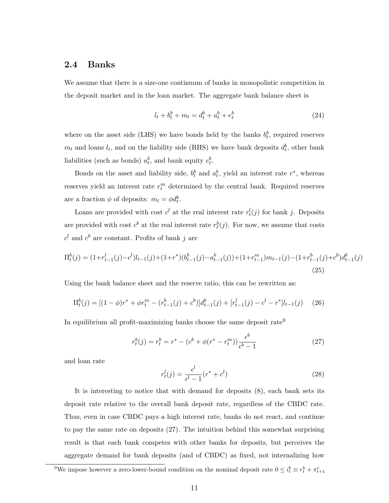#### 2.4 Banks

We assume that there is a size-one continuum of banks in monopolistic competition in the deposit market and in the loan market. The aggregate bank balance sheet is

$$
l_t + b_t^b + m_t = d_t^b + a_t^b + e_t^b \tag{24}
$$

where on the asset side (LHS) we have bonds held by the banks  $b_t^b$ , required reserves  $m_t$  and loans  $l_t$ , and on the liability side (RHS) we have bank deposits  $d_t^b$ , other bank liabilities (such as bonds)  $a_t^b$ , and bank equity  $e_t^b$ .

Bonds on the asset and liability side,  $b_t^b$  and  $a_t^b$ , yield an interest rate  $r^*$ , whereas reserves yield an interest rate  $r_t^m$  determined by the central bank. Required reserves are a fraction  $\phi$  of deposits:  $m_t = \phi d_t^b$ .

Loans are provided with cost  $c^l$  at the real interest rate  $r_t^l(j)$  for bank j. Deposits are provided with cost  $c^b$  at the real interest rate  $r_t^b(j)$ . For now, we assume that costs  $c<sup>l</sup>$  and  $c<sup>b</sup>$  are constant. Profits of bank j are

$$
\Pi_t^b(j) = (1 + r_{t-1}^l(j) - c^l)l_{t-1}(j) + (1 + r^*)(b_{t-1}^b(j) - a_{t-1}^b(j)) + (1 + r_{t-1}^m)m_{t-1}(j) - (1 + r_{t-1}^b(j) + c^b)d_{t-1}^b(j)
$$
\n(25)

Using the bank balance sheet and the reserve ratio, this can be rewritten as:

$$
\Pi_t^b(j) = [(1 - \phi)r^* + \phi r_t^m - (r_{t-1}^b(j) + c^b)]d_{t-1}^b(j) + [r_{t-1}^l(j) - c^l - r^*]l_{t-1}(j) \tag{26}
$$

In equilibrium all profit-maximizing banks choose the same deposit rate<sup>9</sup>

$$
r_t^b(j) = r_t^b = r^* - (c^b + \phi(r^* - r_t^m)) \frac{\epsilon^b}{\epsilon^b - 1}
$$
 (27)

and loan rate

$$
r_t^l(j) = \frac{\epsilon^l}{\epsilon^l - 1}(r^* + c^l)
$$
\n(28)

It is interesting to notice that with demand for deposits (8), each bank sets its deposit rate relative to the overall bank deposit rate, regardless of the CBDC rate. Thus, even in case CBDC pays a high interest rate, banks do not react, and continue to pay the same rate on deposits (27). The intuition behind this somewhat surprising result is that each bank competes with other banks for deposits, but perceives the aggregate demand for bank deposits (and of CBDC) as fixed, not internalizing how

<sup>&</sup>lt;sup>9</sup>We impose however a zero-lower-bound condition on the nominal deposit rate  $0 \leq i_t^b \equiv r_t^b + \pi_{t+1}^e$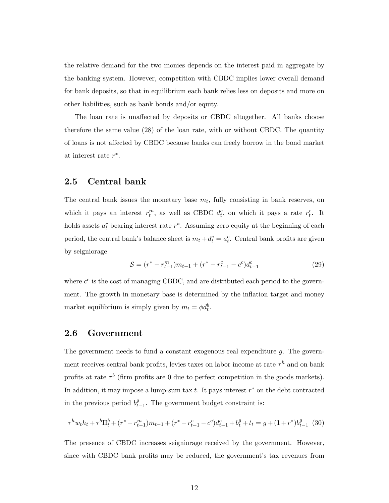the relative demand for the two monies depends on the interest paid in aggregate by the banking system. However, competition with CBDC implies lower overall demand for bank deposits, so that in equilibrium each bank relies less on deposits and more on other liabilities, such as bank bonds and/or equity.

The loan rate is unaffected by deposits or CBDC altogether. All banks choose therefore the same value (28) of the loan rate, with or without CBDC. The quantity of loans is not affected by CBDC because banks can freely borrow in the bond market at interest rate  $r^*$ .

## 2.5 Central bank

The central bank issues the monetary base  $m_t$ , fully consisting in bank reserves, on which it pays an interest  $r_t^m$ , as well as CBDC  $d_t^c$ , on which it pays a rate  $r_t^c$ . It holds assets  $a_t^c$  bearing interest rate  $r^*$ . Assuming zero equity at the beginning of each period, the central bank's balance sheet is  $m_t + d_t^c = a_t^c$ . Central bank profits are given by seigniorage

$$
S = (r^* - r_{t-1}^m)m_{t-1} + (r^* - r_{t-1}^c - c^c)d_{t-1}^c
$$
\n(29)

where  $c^c$  is the cost of managing CBDC, and are distributed each period to the government. The growth in monetary base is determined by the inflation target and money market equilibrium is simply given by  $m_t = \phi d_t^b$ .

#### 2.6 Government

The government needs to fund a constant exogenous real expenditure  $q$ . The government receives central bank profits, levies taxes on labor income at rate  $\tau^h$  and on bank profits at rate  $\tau^b$  (firm profits are 0 due to perfect competition in the goods markets). In addition, it may impose a lump-sum tax  $t$ . It pays interest  $r^*$  on the debt contracted in the previous period  $b_t^g$  $_{t-1}^g$ . The government budget constraint is:

$$
\tau^h w_t h_t + \tau^b \Pi_t^b + (r^* - r_{t-1}^m) m_{t-1} + (r^* - r_{t-1}^c - c^c) d_{t-1}^c + b_t^g + t_t = g + (1 + r^*) b_{t-1}^g
$$
 (30)

The presence of CBDC increases seigniorage received by the government. However, since with CBDC bank profits may be reduced, the government's tax revenues from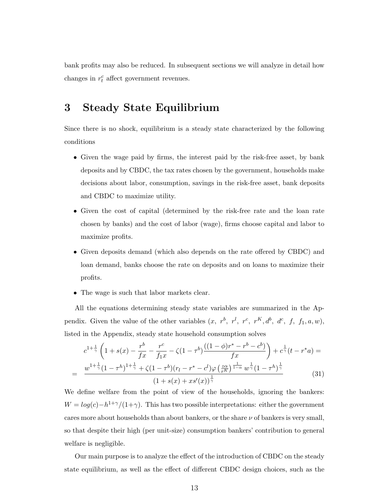bank profits may also be reduced. In subsequent sections we will analyze in detail how changes in  $r_t^c$  affect government revenues.

## 3 Steady State Equilibrium

Since there is no shock, equilibrium is a steady state characterized by the following conditions

- Given the wage paid by firms, the interest paid by the risk-free asset, by bank deposits and by CBDC, the tax rates chosen by the government, households make decisions about labor, consumption, savings in the risk-free asset, bank deposits and CBDC to maximize utility.
- Given the cost of capital (determined by the risk-free rate and the loan rate chosen by banks) and the cost of labor (wage), firms choose capital and labor to maximize profits.
- Given deposits demand (which also depends on the rate offered by CBDC) and loan demand, banks choose the rate on deposits and on loans to maximize their profits.
- The wage is such that labor markets clear.

All the equations determining steady state variables are summarized in the Appendix. Given the value of the other variables  $(x, r^b, r^l, r^c, r^K, d^b, d^c, f, f_1, a, w)$ , listed in the Appendix, steady state household consumption solves

$$
c^{1+\frac{1}{\gamma}} \left( 1 + s(x) - \frac{r^b}{fx} - \frac{r^c}{f_1x} - \zeta (1 - \tau^b) \frac{((1 - \phi)r^* - r^b - c^b)}{fx} \right) + c^{\frac{1}{\gamma}} (t - r^*a) =
$$
  
= 
$$
\frac{w^{1+\frac{1}{\gamma}} (1 - \tau^h)^{1+\frac{1}{\gamma}} + \zeta (1 - \tau^b) (r_l - r^* - c^l) \varphi \left( \frac{z\alpha}{r^k} \right)^{\frac{1}{1 - \alpha}} w^{\frac{1}{\gamma}} (1 - \tau^h)^{\frac{1}{\gamma}}}{(1 + s(x) + xs'(x))^{\frac{1}{\gamma}}}
$$
(31)

We define welfare from the point of view of the households, ignoring the bankers:  $W = log(c) - h^{1+\gamma}/(1+\gamma)$ . This has two possible interpretations: either the government cares more about households than about bankers, or the share  $\nu$  of bankers is very small, so that despite their high (per unit-size) consumption bankers' contribution to general welfare is negligible.

Our main purpose is to analyze the effect of the introduction of CBDC on the steady state equilibrium, as well as the effect of different CBDC design choices, such as the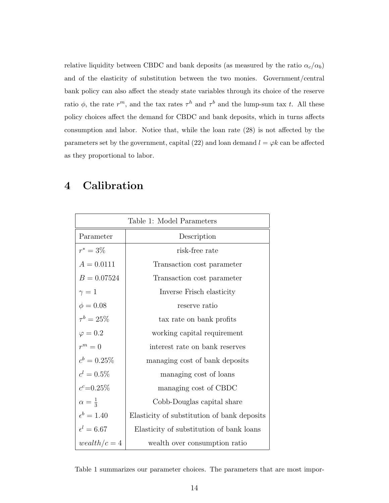relative liquidity between CBDC and bank deposits (as measured by the ratio  $\alpha_c/\alpha_b$ ) and of the elasticity of substitution between the two monies. Government/central bank policy can also affect the steady state variables through its choice of the reserve ratio  $\phi$ , the rate  $r^m$ , and the tax rates  $\tau^h$  and  $\tau^b$  and the lump-sum tax t. All these policy choices affect the demand for CBDC and bank deposits, which in turns affects consumption and labor. Notice that, while the loan rate (28) is not affected by the parameters set by the government, capital (22) and loan demand  $l = \varphi k$  can be affected as they proportional to labor.

# 4 Calibration

| Table 1: Model Parameters |                                             |  |  |  |  |
|---------------------------|---------------------------------------------|--|--|--|--|
| Parameter                 | Description                                 |  |  |  |  |
| $r^* = 3\%$               | risk-free rate                              |  |  |  |  |
| $A = 0.0111$              | Transaction cost parameter                  |  |  |  |  |
| $B = 0.07524$             | Transaction cost parameter                  |  |  |  |  |
| $\gamma=1$                | Inverse Frisch elasticity                   |  |  |  |  |
| $\phi = 0.08$             | reserve ratio                               |  |  |  |  |
| $\tau^{b} = 25\%$         | tax rate on bank profits                    |  |  |  |  |
| $\varphi = 0.2$           | working capital requirement                 |  |  |  |  |
| $r^m=0$                   | interest rate on bank reserves              |  |  |  |  |
| $c^b = 0.25\%$            | managing cost of bank deposits              |  |  |  |  |
| $c^l = 0.5\%$             | managing cost of loans                      |  |  |  |  |
| $c^c = 0.25\%$            | managing cost of CBDC                       |  |  |  |  |
| $\alpha = \frac{1}{3}$    | Cobb-Douglas capital share                  |  |  |  |  |
| $\epsilon^b = 1.40$       | Elasticity of substitution of bank deposits |  |  |  |  |
| $\epsilon^l=6.67$         | Elasticity of substitution of bank loans    |  |  |  |  |
| $weakth/c=4$              | wealth over consumption ratio               |  |  |  |  |

Table 1 summarizes our parameter choices. The parameters that are most impor-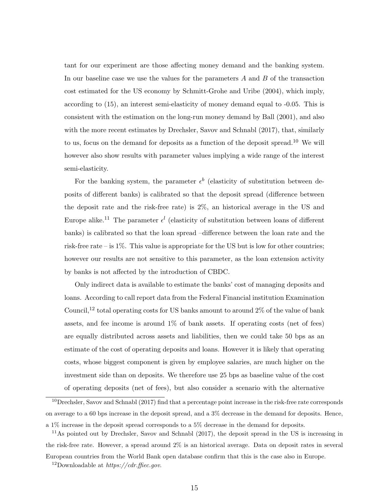tant for our experiment are those affecting money demand and the banking system. In our baseline case we use the values for the parameters  $A$  and  $B$  of the transaction cost estimated for the US economy by Schmitt-Grohe and Uribe (2004), which imply, according to (15), an interest semi-elasticity of money demand equal to -0.05. This is consistent with the estimation on the long-run money demand by Ball (2001), and also with the more recent estimates by Drechsler, Savov and Schnabl (2017), that, similarly to us, focus on the demand for deposits as a function of the deposit spread.<sup>10</sup> We will however also show results with parameter values implying a wide range of the interest semi-elasticity.

For the banking system, the parameter  $\epsilon^b$  (elasticity of substitution between deposits of different banks) is calibrated so that the deposit spread (difference between the deposit rate and the risk-free rate) is 2%, an historical average in the US and Europe alike.<sup>11</sup> The parameter  $\epsilon^l$  (elasticity of substitution between loans of different banks) is calibrated so that the loan spread –difference between the loan rate and the risk-free rate – is  $1\%$ . This value is appropriate for the US but is low for other countries; however our results are not sensitive to this parameter, as the loan extension activity by banks is not affected by the introduction of CBDC.

Only indirect data is available to estimate the banks' cost of managing deposits and loans. According to call report data from the Federal Financial institution Examination Council,<sup>12</sup> total operating costs for US banks amount to around  $2\%$  of the value of bank assets, and fee income is around 1% of bank assets. If operating costs (net of fees) are equally distributed across assets and liabilities, then we could take 50 bps as an estimate of the cost of operating deposits and loans. However it is likely that operating costs, whose biggest component is given by employee salaries, are much higher on the investment side than on deposits. We therefore use 25 bps as baseline value of the cost of operating deposits (net of fees), but also consider a scenario with the alternative

 $10$  Drechsler, Savov and Schnabl (2017) find that a percentage point increase in the risk-free rate corresponds on average to a 60 bps increase in the deposit spread, and a 3% decrease in the demand for deposits. Hence, a 1% increase in the deposit spread corresponds to a 5% decrease in the demand for deposits.

<sup>&</sup>lt;sup>11</sup>As pointed out by Drechsler, Savov and Schnabl (2017), the deposit spread in the US is increasing in the risk-free rate. However, a spread around 2% is an historical average. Data on deposit rates in several European countries from the World Bank open database confirm that this is the case also in Europe.

<sup>&</sup>lt;sup>12</sup>Downloadable at  $\hbar t$ ttps://cdr.ffiec.gov.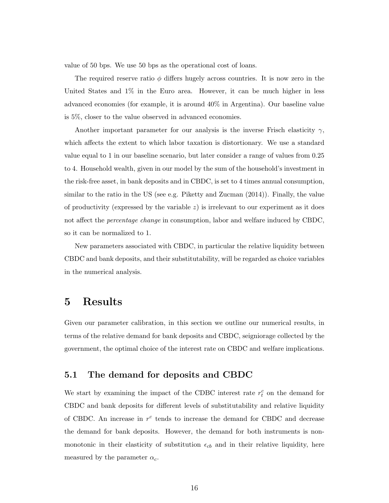value of 50 bps. We use 50 bps as the operational cost of loans.

The required reserve ratio  $\phi$  differs hugely across countries. It is now zero in the United States and 1% in the Euro area. However, it can be much higher in less advanced economies (for example, it is around 40% in Argentina). Our baseline value is 5%, closer to the value observed in advanced economies.

Another important parameter for our analysis is the inverse Frisch elasticity  $\gamma$ , which affects the extent to which labor taxation is distortionary. We use a standard value equal to 1 in our baseline scenario, but later consider a range of values from 0.25 to 4. Household wealth, given in our model by the sum of the household's investment in the risk-free asset, in bank deposits and in CBDC, is set to 4 times annual consumption, similar to the ratio in the US (see e.g. Piketty and Zucman (2014)). Finally, the value of productivity (expressed by the variable  $z$ ) is irrelevant to our experiment as it does not affect the percentage change in consumption, labor and welfare induced by CBDC, so it can be normalized to 1.

New parameters associated with CBDC, in particular the relative liquidity between CBDC and bank deposits, and their substitutability, will be regarded as choice variables in the numerical analysis.

# 5 Results

Given our parameter calibration, in this section we outline our numerical results, in terms of the relative demand for bank deposits and CBDC, seigniorage collected by the government, the optimal choice of the interest rate on CBDC and welfare implications.

## 5.1 The demand for deposits and CBDC

We start by examining the impact of the CDBC interest rate  $r_t^c$  on the demand for CBDC and bank deposits for different levels of substitutability and relative liquidity of CBDC. An increase in  $r^c$  tends to increase the demand for CBDC and decrease the demand for bank deposits. However, the demand for both instruments is nonmonotonic in their elasticity of substitution  $\epsilon_{cb}$  and in their relative liquidity, here measured by the parameter  $\alpha_c$ .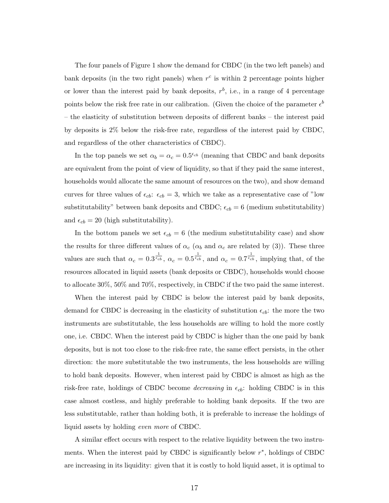The four panels of Figure 1 show the demand for CBDC (in the two left panels) and bank deposits (in the two right panels) when  $r^c$  is within 2 percentage points higher or lower than the interest paid by bank deposits,  $r^b$ , i.e., in a range of 4 percentage points below the risk free rate in our calibration. (Given the choice of the parameter  $\epsilon^b$ – the elasticity of substitution between deposits of different banks – the interest paid by deposits is 2% below the risk-free rate, regardless of the interest paid by CBDC, and regardless of the other characteristics of CBDC).

In the top panels we set  $\alpha_b = \alpha_c = 0.5^{\epsilon_{cb}}$  (meaning that CBDC and bank deposits are equivalent from the point of view of liquidity, so that if they paid the same interest, households would allocate the same amount of resources on the two), and show demand curves for three values of  $\epsilon_{cb}$ :  $\epsilon_{cb} = 3$ , which we take as a representative case of "low substitutability" between bank deposits and CBDC;  $\epsilon_{cb} = 6$  (medium substitutability) and  $\epsilon_{cb} = 20$  (high substitutability).

In the bottom panels we set  $\epsilon_{cb} = 6$  (the medium substitutability case) and show the results for three different values of  $\alpha_c$  ( $\alpha_b$  and  $\alpha_c$  are related by (3)). These three values are such that  $\alpha_c = 0.3^{\frac{1}{\epsilon_{cb}}}, \ \alpha_c = 0.5^{\frac{1}{\epsilon_{cb}}}, \text{ and } \alpha_c = 0.7^{\frac{1}{\epsilon_{cb}}}, \text{ implying that, of the}$ resources allocated in liquid assets (bank deposits or CBDC), households would choose to allocate 30%, 50% and 70%, respectively, in CBDC if the two paid the same interest.

When the interest paid by CBDC is below the interest paid by bank deposits, demand for CBDC is decreasing in the elasticity of substitution  $\epsilon_{cb}$ : the more the two instruments are substitutable, the less households are willing to hold the more costly one, i.e. CBDC. When the interest paid by CBDC is higher than the one paid by bank deposits, but is not too close to the risk-free rate, the same effect persists, in the other direction: the more substitutable the two instruments, the less households are willing to hold bank deposits. However, when interest paid by CBDC is almost as high as the risk-free rate, holdings of CBDC become *decreasing* in  $\epsilon_{cb}$ : holding CBDC is in this case almost costless, and highly preferable to holding bank deposits. If the two are less substitutable, rather than holding both, it is preferable to increase the holdings of liquid assets by holding even more of CBDC.

A similar effect occurs with respect to the relative liquidity between the two instruments. When the interest paid by CBDC is significantly below  $r^*$ , holdings of CBDC are increasing in its liquidity: given that it is costly to hold liquid asset, it is optimal to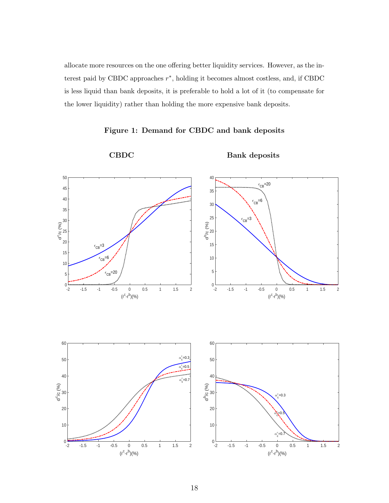allocate more resources on the one offering better liquidity services. However, as the interest paid by CBDC approaches  $r^*$ , holding it becomes almost costless, and, if CBDC is less liquid than bank deposits, it is preferable to hold a lot of it (to compensate for the lower liquidity) rather than holding the more expensive bank deposits.



Figure 1: Demand for CBDC and bank deposits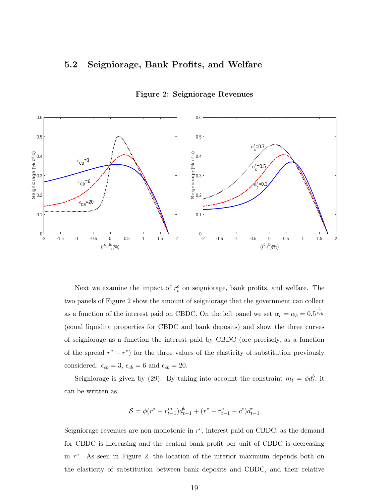## 5.2 Seigniorage, Bank Profits, and Welfare



#### Figure 2: Seigniorage Revenues

Next we examine the impact of  $r_t^c$  on seigniorage, bank profits, and welfare. The two panels of Figure 2 show the amount of seigniorage that the government can collect as a function of the interest paid on CBDC. On the left panel we set  $\alpha_c = \alpha_b = 0.5 \frac{1}{\epsilon_{cb}}$ (equal liquidity properties for CBDC and bank deposits) and show the three curves of seigniorage as a function the interest paid by CBDC (ore precisely, as a function of the spread  $r^c - r^*$  for the three values of the elasticity of substitution previously considered:  $\epsilon_{cb} = 3$ ,  $\epsilon_{cb} = 6$  and  $\epsilon_{cb} = 20$ .

Seigniorage is given by (29). By taking into account the constraint  $m_t = \phi d_t^b$ , it can be written as

$$
S = \phi(r^* - r_{t-1}^m)d_{t-1}^b + (r^* - r_{t-1}^c - c^c)d_{t-1}^c
$$

Seigniorage revenues are non-monotonic in  $r^c$ , interest paid on CBDC, as the demand for CBDC is increasing and the central bank profit per unit of CBDC is decreasing in  $r^c$ . As seen in Figure 2, the location of the interior maximum depends both on the elasticity of substitution between bank deposits and CBDC, and their relative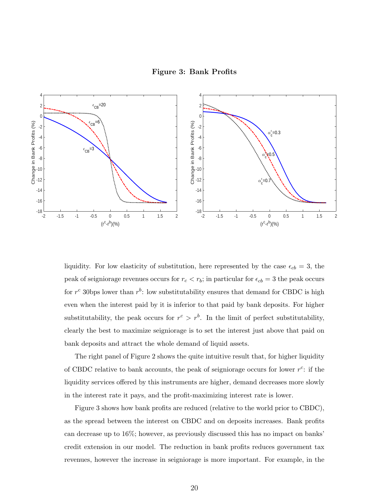



liquidity. For low elasticity of substitution, here represented by the case  $\epsilon_{cb} = 3$ , the peak of seigniorage revenues occurs for  $r_c < r_b$ ; in particular for  $\epsilon_{cb} = 3$  the peak occurs for  $r^c$  30 bps lower than  $r^b$ : low substitutability ensures that demand for CBDC is high even when the interest paid by it is inferior to that paid by bank deposits. For higher substitutability, the peak occurs for  $r^c > r^b$ . In the limit of perfect substitutability, clearly the best to maximize seigniorage is to set the interest just above that paid on bank deposits and attract the whole demand of liquid assets.

The right panel of Figure 2 shows the quite intuitive result that, for higher liquidity of CBDC relative to bank accounts, the peak of seigniorage occurs for lower  $r^c$ : if the liquidity services offered by this instruments are higher, demand decreases more slowly in the interest rate it pays, and the profit-maximizing interest rate is lower.

Figure 3 shows how bank profits are reduced (relative to the world prior to CBDC), as the spread between the interest on CBDC and on deposits increases. Bank profits can decrease up to 16%; however, as previously discussed this has no impact on banks' credit extension in our model. The reduction in bank profits reduces government tax revenues, however the increase in seigniorage is more important. For example, in the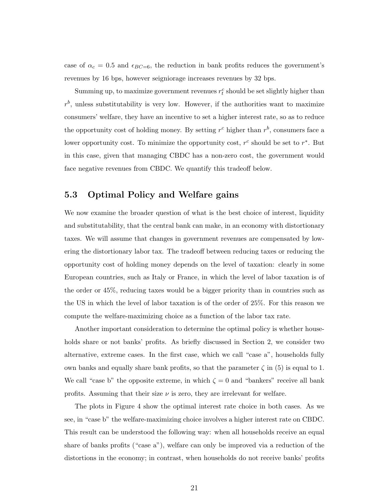case of  $\alpha_c = 0.5$  and  $\epsilon_{BC=6}$ , the reduction in bank profits reduces the government's revenues by 16 bps, however seigniorage increases revenues by 32 bps.

Summing up, to maximize government revenues  $r_t^c$  should be set slightly higher than  $r<sup>b</sup>$ , unless substitutability is very low. However, if the authorities want to maximize consumers' welfare, they have an incentive to set a higher interest rate, so as to reduce the opportunity cost of holding money. By setting  $r^c$  higher than  $r^b$ , consumers face a lower opportunity cost. To minimize the opportunity cost,  $r^c$  should be set to  $r^*$ . But in this case, given that managing CBDC has a non-zero cost, the government would face negative revenues from CBDC. We quantify this tradeoff below.

## 5.3 Optimal Policy and Welfare gains

We now examine the broader question of what is the best choice of interest, liquidity and substitutability, that the central bank can make, in an economy with distortionary taxes. We will assume that changes in government revenues are compensated by lowering the distortionary labor tax. The tradeoff between reducing taxes or reducing the opportunity cost of holding money depends on the level of taxation: clearly in some European countries, such as Italy or France, in which the level of labor taxation is of the order or 45%, reducing taxes would be a bigger priority than in countries such as the US in which the level of labor taxation is of the order of 25%. For this reason we compute the welfare-maximizing choice as a function of the labor tax rate.

Another important consideration to determine the optimal policy is whether households share or not banks' profits. As briefly discussed in Section 2, we consider two alternative, extreme cases. In the first case, which we call "case a", households fully own banks and equally share bank profits, so that the parameter  $\zeta$  in (5) is equal to 1. We call "case b" the opposite extreme, in which  $\zeta = 0$  and "bankers" receive all bank profits. Assuming that their size  $\nu$  is zero, they are irrelevant for welfare.

The plots in Figure 4 show the optimal interest rate choice in both cases. As we see, in "case b" the welfare-maximizing choice involves a higher interest rate on CBDC. This result can be understood the following way: when all households receive an equal share of banks profits ("case a"), welfare can only be improved via a reduction of the distortions in the economy; in contrast, when households do not receive banks' profits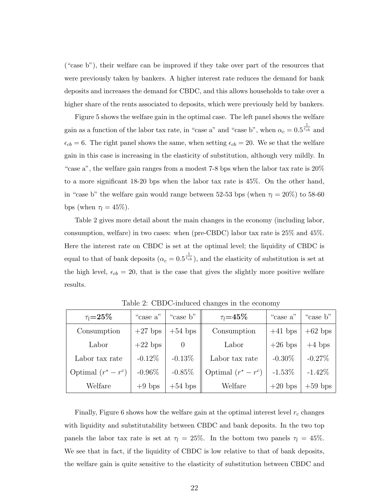("case b"), their welfare can be improved if they take over part of the resources that were previously taken by bankers. A higher interest rate reduces the demand for bank deposits and increases the demand for CBDC, and this allows households to take over a higher share of the rents associated to deposits, which were previously held by bankers.

Figure 5 shows the welfare gain in the optimal case. The left panel shows the welfare gain as a function of the labor tax rate, in "case a" and "case b", when  $\alpha_c = 0.5^{\frac{1}{\epsilon_{cb}}}$  and  $\epsilon_{cb} = 6$ . The right panel shows the same, when setting  $\epsilon_{cb} = 20$ . We se that the welfare gain in this case is increasing in the elasticity of substitution, although very mildly. In "case a", the welfare gain ranges from a modest 7-8 bps when the labor tax rate is 20% to a more significant 18-20 bps when the labor tax rate is 45%. On the other hand, in "case b" the welfare gain would range between 52-53 bps (when  $\tau_l = 20\%$ ) to 58-60 bps (when  $\tau_l = 45\%$ ).

Table 2 gives more detail about the main changes in the economy (including labor, consumption, welfare) in two cases: when (pre-CBDC) labor tax rate is 25% and 45%. Here the interest rate on CBDC is set at the optimal level; the liquidity of CBDC is equal to that of bank deposits  $(\alpha_c = 0.5^{\frac{1}{\epsilon_{cb}}})$ , and the elasticity of substitution is set at the high level,  $\epsilon_{cb} = 20$ , that is the case that gives the slightly more positive welfare results.

| $\tau_l$ =25 $\%$   | "case a"  | "case b"                 | $\tau_l = 45\%$       | "case a"  | "case b"  |
|---------------------|-----------|--------------------------|-----------------------|-----------|-----------|
| Consumption         | $+27$ bps | $+54$ bps<br>Consumption |                       | $+41$ bps | $+62$ bps |
| Labor               | $+22$ bps | $\theta$                 | Labor                 | $+26$ bps | $+4$ bps  |
| Labor tax rate      | $-0.12\%$ | $-0.13%$                 | Labor tax rate        | $-0.30\%$ | $-0.27\%$ |
| Optimal $(r^*-r^c)$ | $-0.96\%$ | $-0.85%$                 | Optimal $(r^* - r^c)$ | $-1.53\%$ | $-1.42\%$ |
| Welfare             | $+9$ bps  | $+54$ bps                | Welfare               | $+20$ bps | $+59$ bps |

Table 2: CBDC-induced changes in the economy

Finally, Figure 6 shows how the welfare gain at the optimal interest level  $r_c$  changes with liquidity and substitutability between CBDC and bank deposits. In the two top panels the labor tax rate is set at  $\tau_l = 25\%$ . In the bottom two panels  $\tau_l = 45\%$ . We see that in fact, if the liquidity of CBDC is low relative to that of bank deposits, the welfare gain is quite sensitive to the elasticity of substitution between CBDC and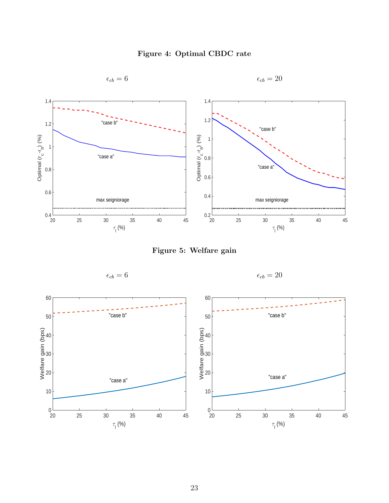

Figure 4: Optimal CBDC rate

Figure 5: Welfare gain



 $\epsilon_{cb} = 6$   $\epsilon_{cb} = 20$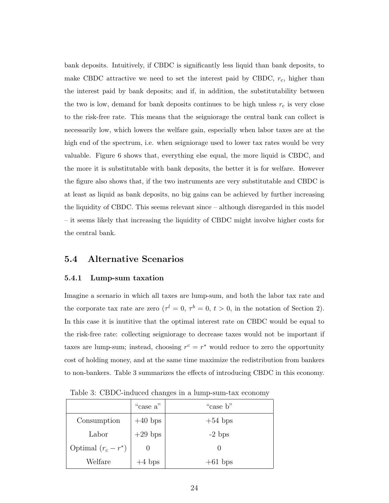bank deposits. Intuitively, if CBDC is significantly less liquid than bank deposits, to make CBDC attractive we need to set the interest paid by CBDC,  $r_c$ , higher than the interest paid by bank deposits; and if, in addition, the substitutability between the two is low, demand for bank deposits continues to be high unless  $r_c$  is very close to the risk-free rate. This means that the seigniorage the central bank can collect is necessarily low, which lowers the welfare gain, especially when labor taxes are at the high end of the spectrum, i.e. when seigniorage used to lower tax rates would be very valuable. Figure 6 shows that, everything else equal, the more liquid is CBDC, and the more it is substitutable with bank deposits, the better it is for welfare. However the figure also shows that, if the two instruments are very substitutable and CBDC is at least as liquid as bank deposits, no big gains can be achieved by further increasing the liquidity of CBDC. This seems relevant since – although disregarded in this model – it seems likely that increasing the liquidity of CBDC might involve higher costs for the central bank.

### 5.4 Alternative Scenarios

#### 5.4.1 Lump-sum taxation

Imagine a scenario in which all taxes are lump-sum, and both the labor tax rate and the corporate tax rate are zero  $(\tau^l = 0, \tau^b = 0, t > 0, \text{ in the notation of Section 2}).$ In this case it is inutitive that the optimal interest rate on CBDC would be equal to the risk-free rate: collecting seigniorage to decrease taxes would not be important if taxes are lump-sum; instead, choosing  $r^c = r^*$  would reduce to zero the opportunity cost of holding money, and at the same time maximize the redistribution from bankers to non-bankers. Table 3 summarizes the effects of introducing CBDC in this economy.

|                       | "case a"  | "case b"  |
|-----------------------|-----------|-----------|
| Consumption           | $+40$ bps | $+54$ bps |
| Labor                 | $+29$ bps | $-2$ bps  |
| Optimal $(r_c - r^*)$ |           |           |
| Welfare               | $+4$ bps  | $+61$ bps |

Table 3: CBDC-induced changes in a lump-sum-tax economy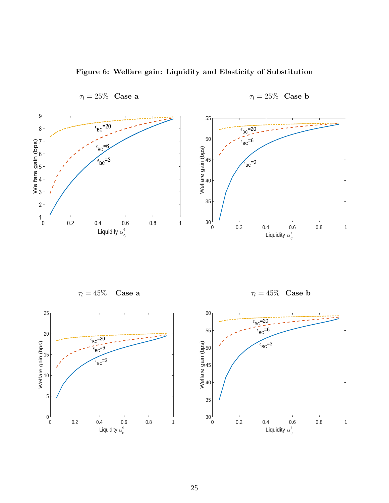

Figure 6: Welfare gain: Liquidity and Elasticity of Substitution

 $\tau_l = 25\%$  Case a  $\qquad \qquad \tau_l = 25\%$  Case b

 $\tau_l = 45\%$  Case a  $\tau_l = 45\%$  Case b



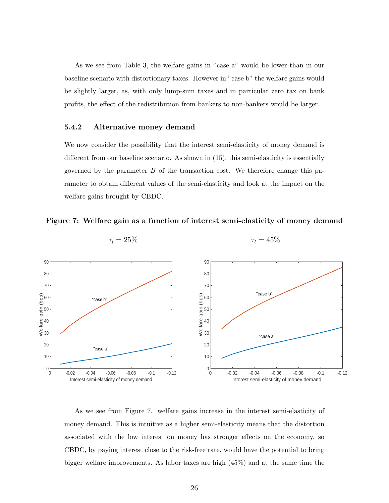As we see from Table 3, the welfare gains in "case a" would be lower than in our baseline scenario with distortionary taxes. However in "case b" the welfare gains would be slightly larger, as, with only lump-sum taxes and in particular zero tax on bank profits, the effect of the redistribution from bankers to non-bankers would be larger.

#### 5.4.2 Alternative money demand

We now consider the possibility that the interest semi-elasticity of money demand is different from our baseline scenario. As shown in (15), this semi-elasticity is essentially governed by the parameter  $B$  of the transaction cost. We therefore change this parameter to obtain different values of the semi-elasticity and look at the impact on the welfare gains brought by CBDC.





$$
\tau_l = 25\% \qquad \qquad \tau_l = 45\%
$$

As we see from Figure 7. welfare gains increase in the interest semi-elasticity of money demand. This is intuitive as a higher semi-elasticity means that the distortion associated with the low interest on money has stronger effects on the economy, so CBDC, by paying interest close to the risk-free rate, would have the potential to bring bigger welfare improvements. As labor taxes are high (45%) and at the same time the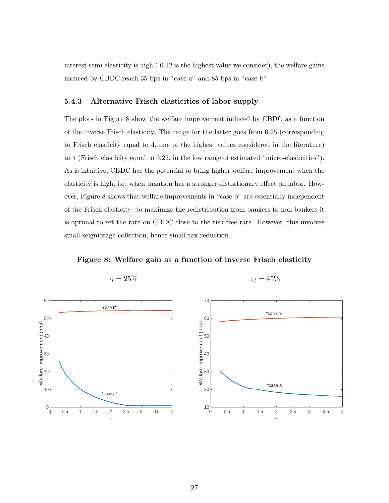interest semi-elasticity is high (-0.12 is the highest value we consider), the welfare gains induced by CBDC reach 35 bps in "case a" and 85 bps in "case b".

#### 5.4.3 Alternative Frisch elasticities of labor supply

The plots in Figure 8 show the welfare improvement induced by CBDC as a function of the inverse Frisch elasticity. The range for the latter goes from 0.25 (corresponding to Frisch elasticity equal to 4, one of the highest values considered in the literature) to 4 (Frisch elasticity equal to 0.25, in the low range of estimated "micro-elasticities"). As is intuitive, CBDC has the potential to bring higher welfare improvement when the elasticity is high, i.e. when taxation has a stronger distortionary effect on labor. However, Figure 8 shows that welfare improvements in "case b" are essentially independent of the Frisch elasticity: to maximize the redistribution from bankers to non-bankers it is optimal to set the rate on CBDC close to the risk-free rate. However, this involves small seigniorage collection, hence small tax reduction.

Figure 8: Welfare gain as a function of inverse Frisch elasticity



 $\tau_l = 25\%$ 

$$
\tau_l=45\%
$$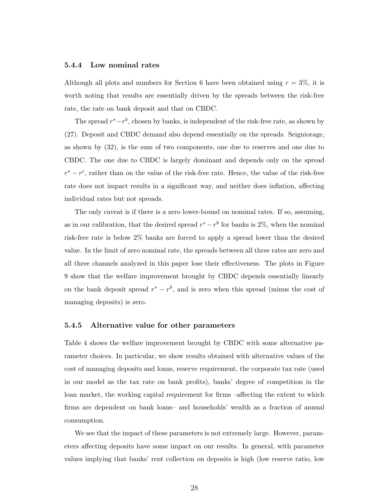#### 5.4.4 Low nominal rates

Although all plots and numbers for Section 6 have been obtained using  $r = 3\%$ , it is worth noting that results are essentially driven by the spreads between the risk-free rate, the rate on bank deposit and that on CBDC.

The spread  $r^* - r^b$ , chosen by banks, is independent of the risk-free rate, as shown by (27). Deposit and CBDC demand also depend essentially on the spreads. Seigniorage, as shown by (32), is the sum of two components, one due to reserves and one due to CBDC. The one due to CBDC is largely dominant and depends only on the spread  $r^* - r^c$ , rather than on the value of the risk-free rate. Hence, the value of the risk-free rate does not impact results in a significant way, and neither does inflation, affecting individual rates but not spreads.

The only caveat is if there is a zero lower-bound on nominal rates. If so, assuming, as in our calibration, that the desired spread  $r^* - r^b$  for banks is 2%, when the nominal risk-free rate is below 2% banks are forced to apply a spread lower than the desired value. In the limit of zero nominal rate, the spreads between all three rates are zero and all three channels analyzed in this paper lose their effectiveness. The plots in Figure 9 show that the welfare improvement brought by CBDC depends essentially linearly on the bank deposit spread  $r^* - r^b$ , and is zero when this spread (minus the cost of managing deposits) is zero.

#### 5.4.5 Alternative value for other parameters

Table 4 shows the welfare improvement brought by CBDC with some alternative parameter choices. In particular, we show results obtained with alternative values of the cost of managing deposits and loans, reserve requirement, the corporate tax rate (used in our model as the tax rate on bank profits), banks' degree of competition in the loan market, the working capital requirement for firms –affecting the extent to which firms are dependent on bank loans– and households' wealth as a fraction of annual consumption.

We see that the impact of these parameters is not extremely large. However, parameters affecting deposits have some impact on our results. In general, with parameter values implying that banks' rent collection on deposits is high (low reserve ratio, low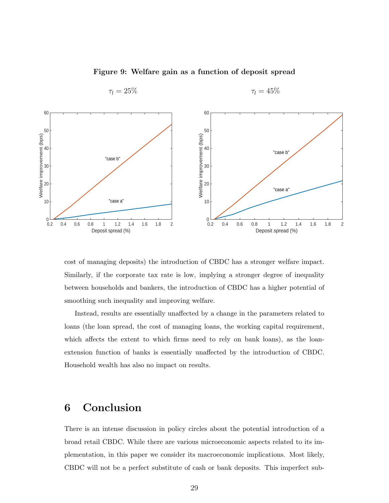

Figure 9: Welfare gain as a function of deposit spread

 $\tau_l = 25\%$   $\tau_l = 45\%$ 

cost of managing deposits) the introduction of CBDC has a stronger welfare impact. Similarly, if the corporate tax rate is low, implying a stronger degree of inequality between households and bankers, the introduction of CBDC has a higher potential of smoothing such inequality and improving welfare.

Instead, results are essentially unaffected by a change in the parameters related to loans (the loan spread, the cost of managing loans, the working capital requirement, which affects the extent to which firms need to rely on bank loans), as the loanextension function of banks is essentially unaffected by the introduction of CBDC. Household wealth has also no impact on results.

# 6 Conclusion

There is an intense discussion in policy circles about the potential introduction of a broad retail CBDC. While there are various microeconomic aspects related to its implementation, in this paper we consider its macroeconomic implications. Most likely, CBDC will not be a perfect substitute of cash or bank deposits. This imperfect sub-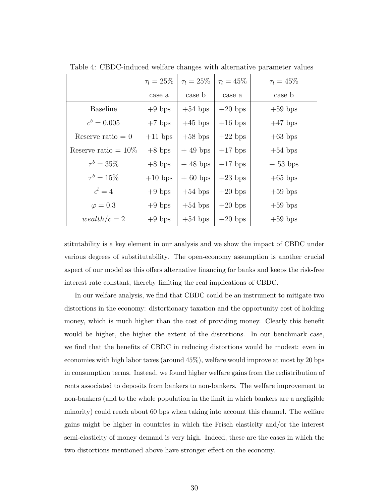|                        | $\tau_1 = 25\%$ | $\tau_l = 25\%$ | $\tau_l = 45\%$ | $\tau_l = 45\%$ |
|------------------------|-----------------|-----------------|-----------------|-----------------|
|                        | case a          | case b          | case a          | case b          |
| <b>Baseline</b>        | $+9$ bps        | $+54$ bps       | $+20$ bps       | $+59$ bps       |
| $c^b = 0.005$          | $+7$ bps        | $+45$ bps       | $+16$ bps       | $+47$ bps       |
| Reserve ratio $= 0$    | $+11$ bps       | $+58$ bps       | $+22$ bps       | $+63$ bps       |
| Reserve ratio = $10\%$ | $+8$ bps        | $+49$ bps       | $+17$ bps       | $+54$ bps       |
| $\tau^{b} = 35\%$      | $+8$ bps        | $+48$ bps       | $+17$ bps       | $+53$ bps       |
| $\tau^{b} = 15\%$      | $+10$ bps       | $+60$ bps       | $+23$ bps       | $+65$ bps       |
| $\epsilon^l=4$         | $+9$ bps        | $+54$ bps       | $+20$ bps       | $+59$ bps       |
| $\varphi = 0.3$        | $+9$ bps        | $+54$ bps       | $+20$ bps       | $+59$ bps       |
| $weakth/c=2$           | $+9$ bps        | $+54$ bps       | $+20$ bps       | $+59$ bps       |

Table 4: CBDC-induced welfare changes with alternative parameter values

stitutability is a key element in our analysis and we show the impact of CBDC under various degrees of substitutability. The open-economy assumption is another crucial aspect of our model as this offers alternative financing for banks and keeps the risk-free interest rate constant, thereby limiting the real implications of CBDC.

In our welfare analysis, we find that CBDC could be an instrument to mitigate two distortions in the economy: distortionary taxation and the opportunity cost of holding money, which is much higher than the cost of providing money. Clearly this benefit would be higher, the higher the extent of the distortions. In our benchmark case, we find that the benefits of CBDC in reducing distortions would be modest: even in economies with high labor taxes (around 45%), welfare would improve at most by 20 bps in consumption terms. Instead, we found higher welfare gains from the redistribution of rents associated to deposits from bankers to non-bankers. The welfare improvement to non-bankers (and to the whole population in the limit in which bankers are a negligible minority) could reach about 60 bps when taking into account this channel. The welfare gains might be higher in countries in which the Frisch elasticity and/or the interest semi-elasticity of money demand is very high. Indeed, these are the cases in which the two distortions mentioned above have stronger effect on the economy.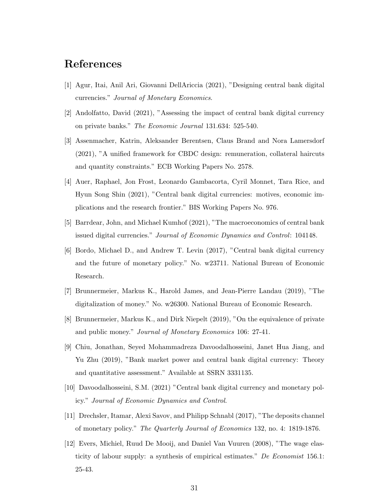# References

- [1] Agur, Itai, Anil Ari, Giovanni DellAriccia (2021), "Designing central bank digital currencies." Journal of Monetary Economics.
- [2] Andolfatto, David (2021), "Assessing the impact of central bank digital currency on private banks." The Economic Journal 131.634: 525-540.
- [3] Assenmacher, Katrin, Aleksander Berentsen, Claus Brand and Nora Lamersdorf (2021), "A unified framework for CBDC design: remuneration, collateral haircuts and quantity constraints." ECB Working Papers No. 2578.
- [4] Auer, Raphael, Jon Frost, Leonardo Gambacorta, Cyril Monnet, Tara Rice, and Hyun Song Shin (2021), "Central bank digital currencies: motives, economic implications and the research frontier." BIS Working Papers No. 976.
- [5] Barrdear, John, and Michael Kumhof (2021), "The macroeconomics of central bank issued digital currencies." Journal of Economic Dynamics and Control: 104148.
- [6] Bordo, Michael D., and Andrew T. Levin (2017), "Central bank digital currency and the future of monetary policy." No. w23711. National Bureau of Economic Research.
- [7] Brunnermeier, Markus K., Harold James, and Jean-Pierre Landau (2019), "The digitalization of money." No. w26300. National Bureau of Economic Research.
- [8] Brunnermeier, Markus K., and Dirk Niepelt (2019), "On the equivalence of private and public money." Journal of Monetary Economics 106: 27-41.
- [9] Chiu, Jonathan, Seyed Mohammadreza Davoodalhosseini, Janet Hua Jiang, and Yu Zhu (2019), "Bank market power and central bank digital currency: Theory and quantitative assessment." Available at SSRN 3331135.
- [10] Davoodalhosseini, S.M. (2021) "Central bank digital currency and monetary policy." Journal of Economic Dynamics and Control.
- [11] Drechsler, Itamar, Alexi Savov, and Philipp Schnabl (2017), "The deposits channel of monetary policy." The Quarterly Journal of Economics 132, no. 4: 1819-1876.
- [12] Evers, Michiel, Ruud De Mooij, and Daniel Van Vuuren (2008), "The wage elasticity of labour supply: a synthesis of empirical estimates." De Economist 156.1: 25-43.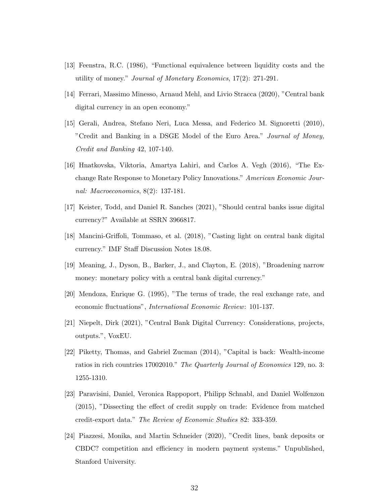- [13] Feenstra, R.C. (1986), "Functional equivalence between liquidity costs and the utility of money." Journal of Monetary Economics, 17(2): 271-291.
- [14] Ferrari, Massimo Minesso, Arnaud Mehl, and Livio Stracca (2020), "Central bank digital currency in an open economy."
- [15] Gerali, Andrea, Stefano Neri, Luca Messa, and Federico M. Signoretti (2010), "Credit and Banking in a DSGE Model of the Euro Area." Journal of Money, Credit and Banking 42, 107-140.
- [16] Hnatkovska, Viktoria, Amartya Lahiri, and Carlos A. Vegh (2016), "The Exchange Rate Response to Monetary Policy Innovations." American Economic Journal: Macroeconomics, 8(2): 137-181.
- [17] Keister, Todd, and Daniel R. Sanches (2021), "Should central banks issue digital currency?" Available at SSRN 3966817.
- [18] Mancini-Griffoli, Tommaso, et al. (2018), "Casting light on central bank digital currency." IMF Staff Discussion Notes 18.08.
- [19] Meaning, J., Dyson, B., Barker, J., and Clayton, E. (2018), "Broadening narrow money: monetary policy with a central bank digital currency."
- [20] Mendoza, Enrique G. (1995), "The terms of trade, the real exchange rate, and economic fluctuations", International Economic Review: 101-137.
- [21] Niepelt, Dirk (2021), "Central Bank Digital Currency: Considerations, projects, outputs.", VoxEU.
- [22] Piketty, Thomas, and Gabriel Zucman (2014), "Capital is back: Wealth-income ratios in rich countries 17002010." The Quarterly Journal of Economics 129, no. 3: 1255-1310.
- [23] Paravisini, Daniel, Veronica Rappoport, Philipp Schnabl, and Daniel Wolfenzon (2015), "Dissecting the effect of credit supply on trade: Evidence from matched credit-export data." The Review of Economic Studies 82: 333-359.
- [24] Piazzesi, Monika, and Martin Schneider (2020), "Credit lines, bank deposits or CBDC? competition and efficiency in modern payment systems." Unpublished, Stanford University.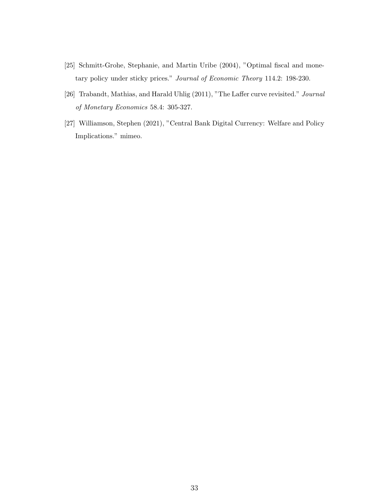- [25] Schmitt-Grohe, Stephanie, and Martin Uribe (2004), "Optimal fiscal and monetary policy under sticky prices." Journal of Economic Theory 114.2: 198-230.
- [26] Trabandt, Mathias, and Harald Uhlig (2011), "The Laffer curve revisited." Journal of Monetary Economics 58.4: 305-327.
- [27] Williamson, Stephen (2021), "Central Bank Digital Currency: Welfare and Policy Implications." mimeo.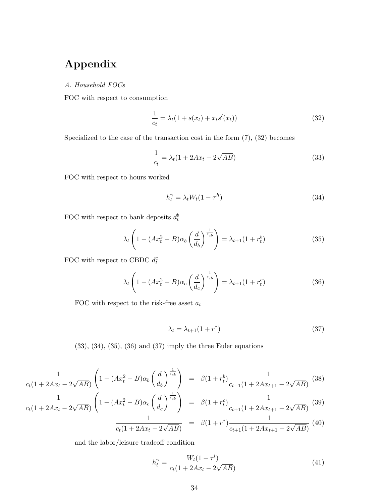# Appendix

A. Household FOCs

FOC with respect to consumption

$$
\frac{1}{c_t} = \lambda_t (1 + s(x_t) + x_t s'(x_t))
$$
\n(32)

Specialized to the case of the transaction cost in the form  $(7)$ ,  $(32)$  becomes

$$
\frac{1}{c_t} = \lambda_t (1 + 2Ax_t - 2\sqrt{AB})
$$
\n(33)

FOC with respect to hours worked

$$
h_t^{\gamma} = \lambda_t W_t (1 - \tau^h) \tag{34}
$$

FOC with respect to bank deposits  $d_t^b$ 

$$
\lambda_t \left( 1 - (Ax_t^2 - B)\alpha_b \left( \frac{d}{d_b} \right)^{\frac{1}{\epsilon_{cb}}} \right) = \lambda_{t+1} (1 + r_t^b)
$$
\n(35)

FOC with respect to CBDC  $d_t^c$ 

$$
\lambda_t \left( 1 - (Ax_t^2 - B)\alpha_c \left( \frac{d}{d_c} \right)^{\frac{1}{\epsilon_{cb}}} \right) = \lambda_{t+1} (1 + r_t^c) \tag{36}
$$

FOC with respect to the risk-free asset  $a_t$ 

$$
\lambda_t = \lambda_{t+1}(1+r^*)\tag{37}
$$

 $(33), (34), (35), (36)$  and  $(37)$  imply the three Euler equations

$$
\frac{1}{c_t(1+2Ax_t-2\sqrt{AB})}\left(1-(Ax_t^2-B)\alpha_b\left(\frac{d}{d_b}\right)^{\frac{1}{\epsilon_{cb}}}\right) = \beta(1+r_t^b)\frac{1}{c_{t+1}(1+2Ax_{t+1}-2\sqrt{AB})}
$$
(38)

$$
\frac{1}{c_t(1+2Ax_t-2\sqrt{AB})}\left(1-(Ax_t^2-B)\alpha_c\left(\frac{d}{d_c}\right)^{\epsilon_{cb}}\right) = \beta(1+r_t^c)\frac{1}{c_{t+1}(1+2Ax_{t+1}-2\sqrt{AB})}
$$
(39)

$$
\frac{1}{c_t(1+2Ax_t-2\sqrt{AB})} = \beta(1+r^*)\frac{1}{c_{t+1}(1+2Ax_{t+1}-2\sqrt{AB})}
$$
(40)

and the labor/leisure tradeoff condition

$$
h_t^{\gamma} = \frac{W_t(1 - \tau^l)}{c_t(1 + 2Ax_t - 2\sqrt{AB})}
$$
(41)